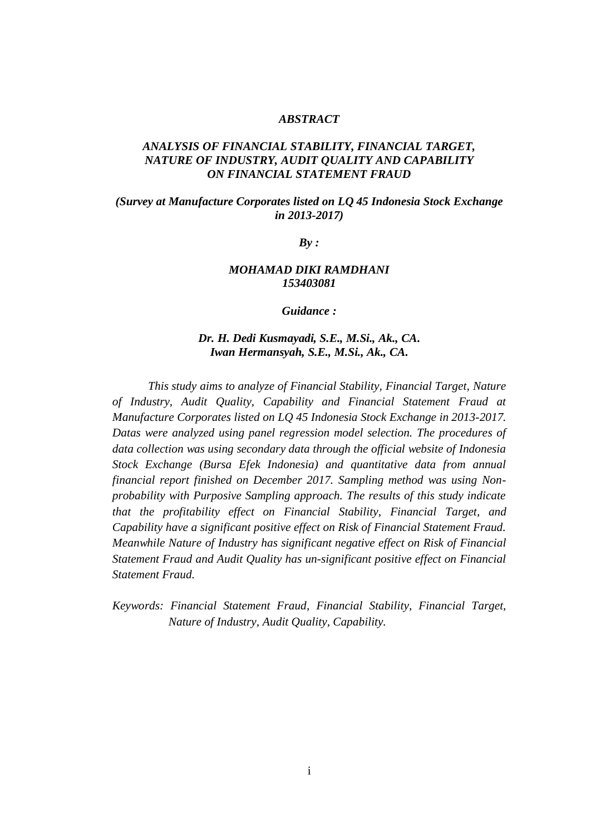#### *ABSTRACT*

# *ANALYSIS OF FINANCIAL STABILITY, FINANCIAL TARGET, NATURE OF INDUSTRY, AUDIT QUALITY AND CAPABILITY ON FINANCIAL STATEMENT FRAUD*

## *(Survey at Manufacture Corporates listed on LQ 45 Indonesia Stock Exchange in 2013-2017)*

*By :*

### *MOHAMAD DIKI RAMDHANI 153403081*

*Guidance :*

## *Dr. H. Dedi Kusmayadi, S.E., M.Si., Ak., CA. Iwan Hermansyah, S.E., M.Si., Ak., CA.*

*This study aims to analyze of Financial Stability, Financial Target, Nature of Industry, Audit Quality, Capability and Financial Statement Fraud at Manufacture Corporates listed on LQ 45 Indonesia Stock Exchange in 2013-2017. Datas were analyzed using panel regression model selection. The procedures of data collection was using secondary data through the official website of Indonesia Stock Exchange (Bursa Efek Indonesia) and quantitative data from annual financial report finished on December 2017. Sampling method was using Nonprobability with Purposive Sampling approach. The results of this study indicate that the profitability effect on Financial Stability, Financial Target, and Capability have a significant positive effect on Risk of Financial Statement Fraud. Meanwhile Nature of Industry has significant negative effect on Risk of Financial Statement Fraud and Audit Quality has un-significant positive effect on Financial Statement Fraud.*

*Keywords: Financial Statement Fraud, Financial Stability, Financial Target, Nature of Industry, Audit Quality, Capability.*